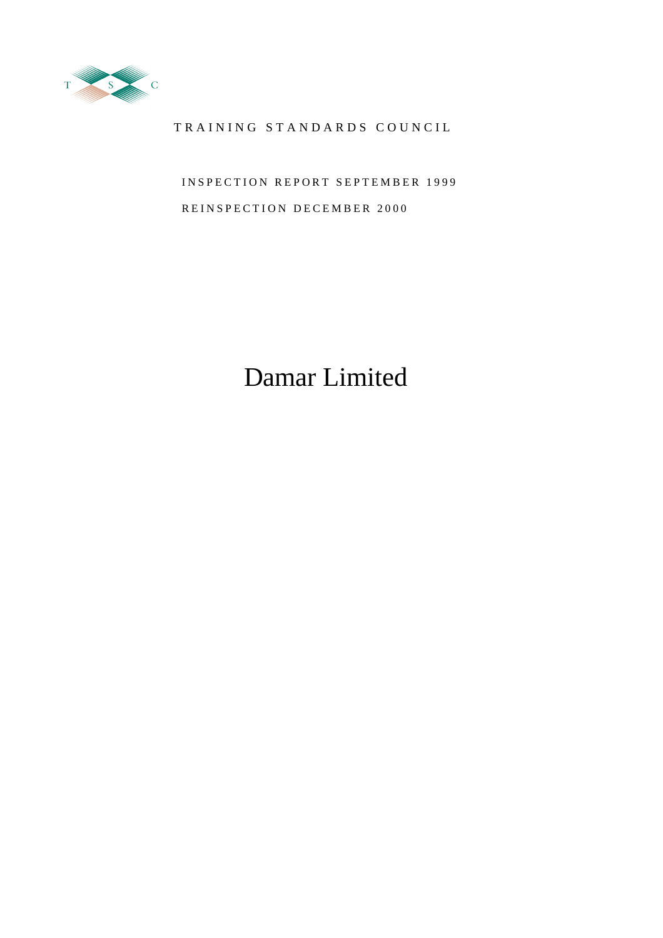

### TRAINING STANDARDS COUNCIL

INSPECTION REPORT SEPTEMBER 1999 REINSPECTION DECEMBER 2000

# Damar Limited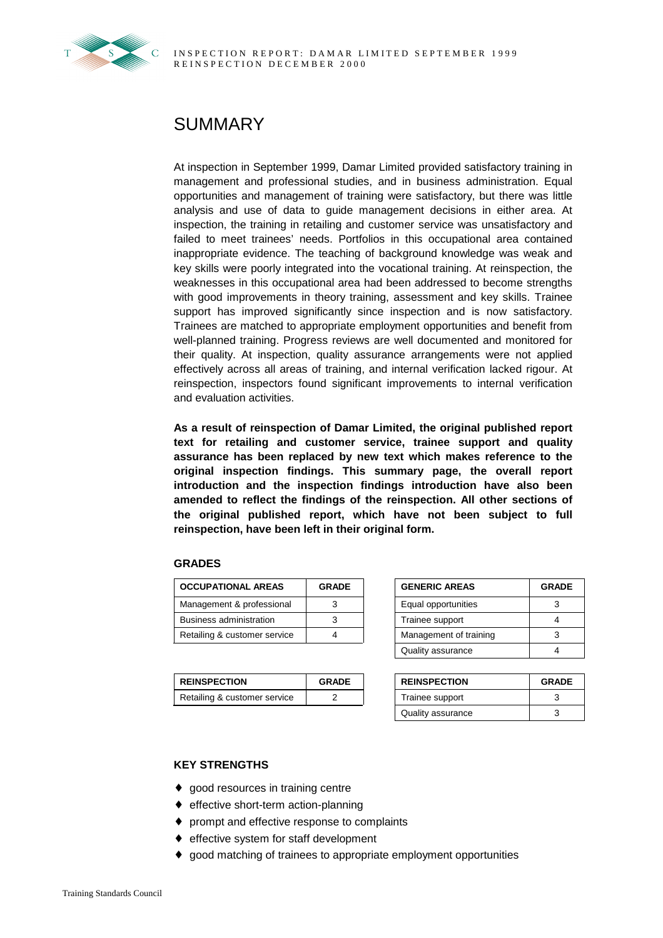

## SUMMARY

At inspection in September 1999, Damar Limited provided satisfactory training in management and professional studies, and in business administration. Equal opportunities and management of training were satisfactory, but there was little analysis and use of data to guide management decisions in either area. At inspection, the training in retailing and customer service was unsatisfactory and failed to meet trainees' needs. Portfolios in this occupational area contained inappropriate evidence. The teaching of background knowledge was weak and key skills were poorly integrated into the vocational training. At reinspection, the weaknesses in this occupational area had been addressed to become strengths with good improvements in theory training, assessment and key skills. Trainee support has improved significantly since inspection and is now satisfactory. Trainees are matched to appropriate employment opportunities and benefit from well-planned training. Progress reviews are well documented and monitored for their quality. At inspection, quality assurance arrangements were not applied effectively across all areas of training, and internal verification lacked rigour. At reinspection, inspectors found significant improvements to internal verification and evaluation activities.

**As a result of reinspection of Damar Limited, the original published report text for retailing and customer service, trainee support and quality assurance has been replaced by new text which makes reference to the original inspection findings. This summary page, the overall report introduction and the inspection findings introduction have also been amended to reflect the findings of the reinspection. All other sections of the original published report, which have not been subject to full reinspection, have been left in their original form.**

#### **GRADES**

| <b>OCCUPATIONAL AREAS</b>    | <b>GRADE</b> | <b>GENERIC AREAS</b>   | <b>GRADE</b> |
|------------------------------|--------------|------------------------|--------------|
| Management & professional    |              | Equal opportunities    |              |
| Business administration      |              | Trainee support        |              |
| Retailing & customer service |              | Management of training |              |

| <b>REINSPECTION</b>          | <b>GRADE</b> | <b>REINSPECTION</b> | <b>GRADE</b> |
|------------------------------|--------------|---------------------|--------------|
| Retailing & customer service |              | Trainee support     |              |

| <b>GENERIC AREAS</b>   | <b>GRADE</b> |
|------------------------|--------------|
| Equal opportunities    |              |
| Trainee support        |              |
| Management of training |              |
| Quality assurance      |              |

| <b>REINSPECTION</b> | <b>GRADE</b> |
|---------------------|--------------|
| Trainee support     | 3            |
| Quality assurance   |              |

#### **KEY STRENGTHS**

- ◆ good resources in training centre
- ♦ effective short-term action-planning
- ♦ prompt and effective response to complaints
- ♦ effective system for staff development
- ♦ good matching of trainees to appropriate employment opportunities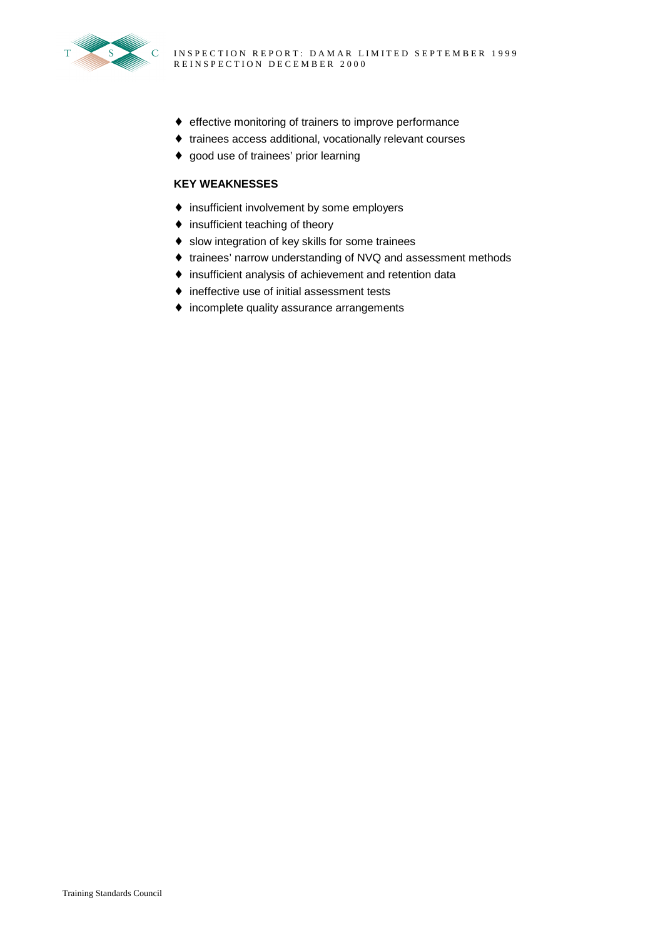

- ♦ effective monitoring of trainers to improve performance
- ♦ trainees access additional, vocationally relevant courses
- ♦ good use of trainees' prior learning

#### **KEY WEAKNESSES**

- ♦ insufficient involvement by some employers
- ♦ insufficient teaching of theory
- ♦ slow integration of key skills for some trainees
- ♦ trainees' narrow understanding of NVQ and assessment methods
- ♦ insufficient analysis of achievement and retention data
- ♦ ineffective use of initial assessment tests
- ♦ incomplete quality assurance arrangements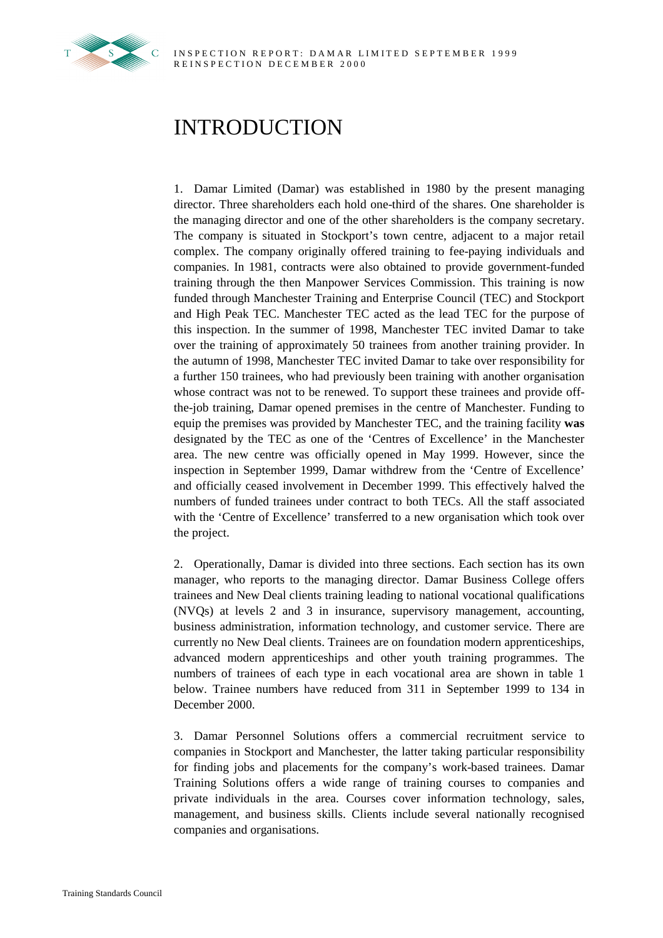

## INTRODUCTION

1. Damar Limited (Damar) was established in 1980 by the present managing director. Three shareholders each hold one-third of the shares. One shareholder is the managing director and one of the other shareholders is the company secretary. The company is situated in Stockport's town centre, adjacent to a major retail complex. The company originally offered training to fee-paying individuals and companies. In 1981, contracts were also obtained to provide government-funded training through the then Manpower Services Commission. This training is now funded through Manchester Training and Enterprise Council (TEC) and Stockport and High Peak TEC. Manchester TEC acted as the lead TEC for the purpose of this inspection. In the summer of 1998, Manchester TEC invited Damar to take over the training of approximately 50 trainees from another training provider. In the autumn of 1998, Manchester TEC invited Damar to take over responsibility for a further 150 trainees, who had previously been training with another organisation whose contract was not to be renewed. To support these trainees and provide offthe-job training, Damar opened premises in the centre of Manchester. Funding to equip the premises was provided by Manchester TEC, and the training facility **was** designated by the TEC as one of the 'Centres of Excellence' in the Manchester area. The new centre was officially opened in May 1999. However, since the inspection in September 1999, Damar withdrew from the 'Centre of Excellence' and officially ceased involvement in December 1999. This effectively halved the numbers of funded trainees under contract to both TECs. All the staff associated with the 'Centre of Excellence' transferred to a new organisation which took over the project.

2. Operationally, Damar is divided into three sections. Each section has its own manager, who reports to the managing director. Damar Business College offers trainees and New Deal clients training leading to national vocational qualifications (NVQs) at levels 2 and 3 in insurance, supervisory management, accounting, business administration, information technology, and customer service. There are currently no New Deal clients. Trainees are on foundation modern apprenticeships, advanced modern apprenticeships and other youth training programmes. The numbers of trainees of each type in each vocational area are shown in table 1 below. Trainee numbers have reduced from 311 in September 1999 to 134 in December 2000.

3. Damar Personnel Solutions offers a commercial recruitment service to companies in Stockport and Manchester, the latter taking particular responsibility for finding jobs and placements for the company's work-based trainees. Damar Training Solutions offers a wide range of training courses to companies and private individuals in the area. Courses cover information technology, sales, management, and business skills. Clients include several nationally recognised companies and organisations.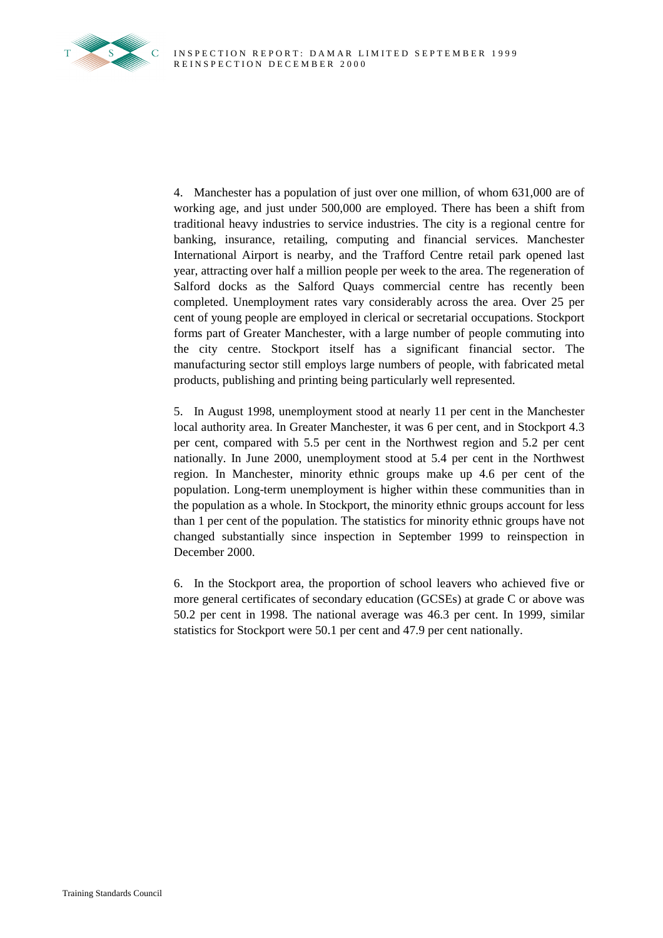

4. Manchester has a population of just over one million, of whom 631,000 are of working age, and just under 500,000 are employed. There has been a shift from traditional heavy industries to service industries. The city is a regional centre for banking, insurance, retailing, computing and financial services. Manchester International Airport is nearby, and the Trafford Centre retail park opened last year, attracting over half a million people per week to the area. The regeneration of Salford docks as the Salford Quays commercial centre has recently been completed. Unemployment rates vary considerably across the area. Over 25 per cent of young people are employed in clerical or secretarial occupations. Stockport forms part of Greater Manchester, with a large number of people commuting into the city centre. Stockport itself has a significant financial sector. The manufacturing sector still employs large numbers of people, with fabricated metal products, publishing and printing being particularly well represented.

5. In August 1998, unemployment stood at nearly 11 per cent in the Manchester local authority area. In Greater Manchester, it was 6 per cent, and in Stockport 4.3 per cent, compared with 5.5 per cent in the Northwest region and 5.2 per cent nationally. In June 2000, unemployment stood at 5.4 per cent in the Northwest region. In Manchester, minority ethnic groups make up 4.6 per cent of the population. Long-term unemployment is higher within these communities than in the population as a whole. In Stockport, the minority ethnic groups account for less than 1 per cent of the population. The statistics for minority ethnic groups have not changed substantially since inspection in September 1999 to reinspection in December 2000.

6. In the Stockport area, the proportion of school leavers who achieved five or more general certificates of secondary education (GCSEs) at grade C or above was 50.2 per cent in 1998. The national average was 46.3 per cent. In 1999, similar statistics for Stockport were 50.1 per cent and 47.9 per cent nationally.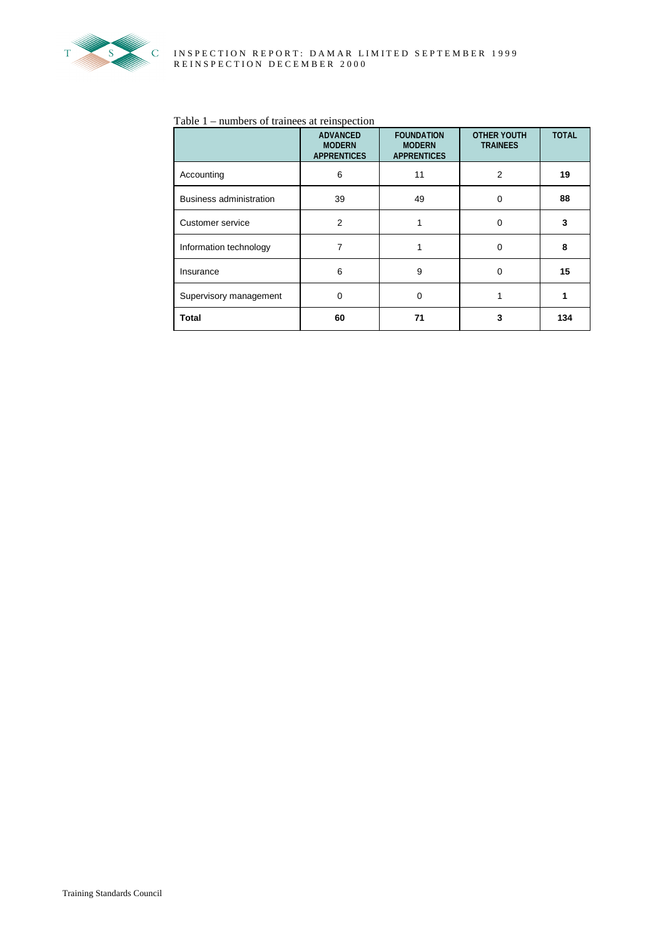

#### Table 1 – numbers of trainees at reinspection

|                         | <b>ADVANCED</b><br><b>MODERN</b><br><b>APPRENTICES</b> | <b>FOUNDATION</b><br><b>MODERN</b><br><b>APPRENTICES</b> | <b>OTHER YOUTH</b><br><b>TRAINEES</b> | <b>TOTAL</b> |
|-------------------------|--------------------------------------------------------|----------------------------------------------------------|---------------------------------------|--------------|
| Accounting              | 6                                                      | 11                                                       | $\overline{2}$                        | 19           |
| Business administration | 39                                                     | 49                                                       | 0                                     | 88           |
| Customer service        | $\overline{2}$                                         |                                                          | 0                                     | 3            |
| Information technology  | 7                                                      |                                                          | $\mathbf 0$                           | 8            |
| Insurance               | 6                                                      | 9                                                        | 0                                     | 15           |
| Supervisory management  | 0                                                      | $\Omega$                                                 |                                       | 1            |
| <b>Total</b>            | 60                                                     | 71                                                       | 3                                     | 134          |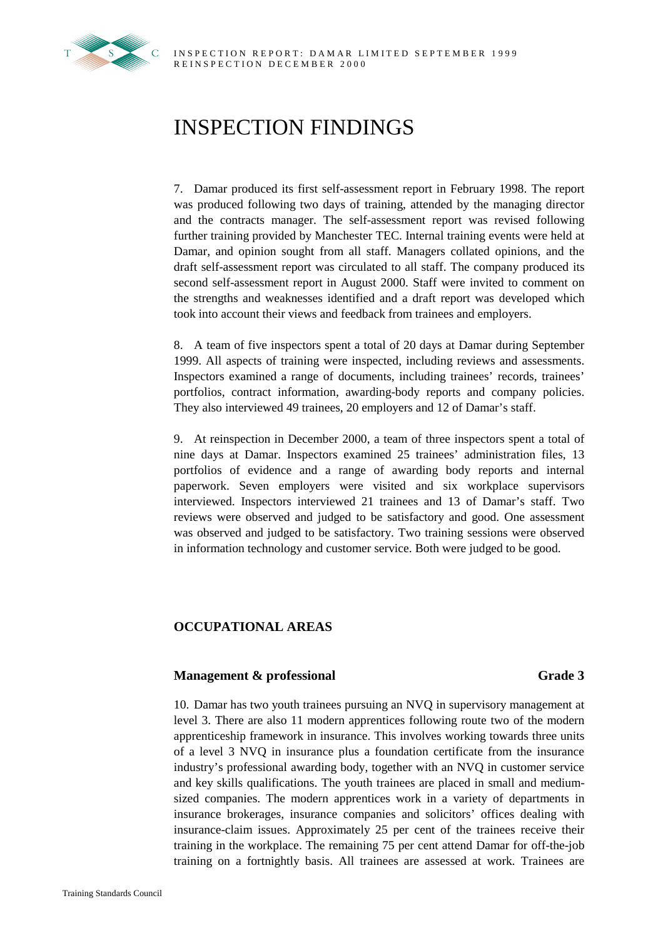## INSPECTION FINDINGS

7. Damar produced its first self-assessment report in February 1998. The report was produced following two days of training, attended by the managing director and the contracts manager. The self-assessment report was revised following further training provided by Manchester TEC. Internal training events were held at Damar, and opinion sought from all staff. Managers collated opinions, and the draft self-assessment report was circulated to all staff. The company produced its second self-assessment report in August 2000. Staff were invited to comment on the strengths and weaknesses identified and a draft report was developed which took into account their views and feedback from trainees and employers.

8. A team of five inspectors spent a total of 20 days at Damar during September 1999. All aspects of training were inspected, including reviews and assessments. Inspectors examined a range of documents, including trainees' records, trainees' portfolios, contract information, awarding-body reports and company policies. They also interviewed 49 trainees, 20 employers and 12 of Damar's staff.

9. At reinspection in December 2000, a team of three inspectors spent a total of nine days at Damar. Inspectors examined 25 trainees' administration files, 13 portfolios of evidence and a range of awarding body reports and internal paperwork. Seven employers were visited and six workplace supervisors interviewed. Inspectors interviewed 21 trainees and 13 of Damar's staff. Two reviews were observed and judged to be satisfactory and good. One assessment was observed and judged to be satisfactory. Two training sessions were observed in information technology and customer service. Both were judged to be good.

### **OCCUPATIONAL AREAS**

#### **Management & professional Grade 3**

10. Damar has two youth trainees pursuing an NVQ in supervisory management at level 3. There are also 11 modern apprentices following route two of the modern apprenticeship framework in insurance. This involves working towards three units of a level 3 NVQ in insurance plus a foundation certificate from the insurance industry's professional awarding body, together with an NVQ in customer service and key skills qualifications. The youth trainees are placed in small and mediumsized companies. The modern apprentices work in a variety of departments in insurance brokerages, insurance companies and solicitors' offices dealing with insurance-claim issues. Approximately 25 per cent of the trainees receive their training in the workplace. The remaining 75 per cent attend Damar for off-the-job training on a fortnightly basis. All trainees are assessed at work. Trainees are

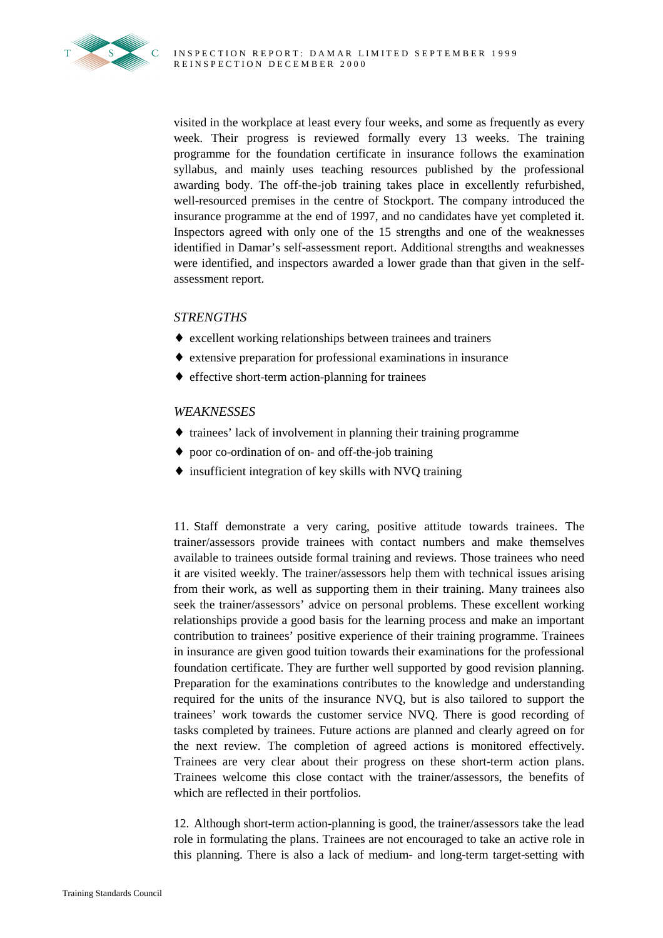visited in the workplace at least every four weeks, and some as frequently as every week. Their progress is reviewed formally every 13 weeks. The training programme for the foundation certificate in insurance follows the examination syllabus, and mainly uses teaching resources published by the professional awarding body. The off-the-job training takes place in excellently refurbished, well-resourced premises in the centre of Stockport. The company introduced the insurance programme at the end of 1997, and no candidates have yet completed it. Inspectors agreed with only one of the 15 strengths and one of the weaknesses identified in Damar's self-assessment report. Additional strengths and weaknesses were identified, and inspectors awarded a lower grade than that given in the selfassessment report.

### *STRENGTHS*

- ♦ excellent working relationships between trainees and trainers
- ♦ extensive preparation for professional examinations in insurance
- ♦ effective short-term action-planning for trainees

#### *WEAKNESSES*

- ♦ trainees' lack of involvement in planning their training programme
- ♦ poor co-ordination of on- and off-the-job training
- ♦ insufficient integration of key skills with NVQ training

11. Staff demonstrate a very caring, positive attitude towards trainees. The trainer/assessors provide trainees with contact numbers and make themselves available to trainees outside formal training and reviews. Those trainees who need it are visited weekly. The trainer/assessors help them with technical issues arising from their work, as well as supporting them in their training. Many trainees also seek the trainer/assessors' advice on personal problems. These excellent working relationships provide a good basis for the learning process and make an important contribution to trainees' positive experience of their training programme. Trainees in insurance are given good tuition towards their examinations for the professional foundation certificate. They are further well supported by good revision planning. Preparation for the examinations contributes to the knowledge and understanding required for the units of the insurance NVQ, but is also tailored to support the trainees' work towards the customer service NVQ. There is good recording of tasks completed by trainees. Future actions are planned and clearly agreed on for the next review. The completion of agreed actions is monitored effectively. Trainees are very clear about their progress on these short-term action plans. Trainees welcome this close contact with the trainer/assessors, the benefits of which are reflected in their portfolios.

12. Although short-term action-planning is good, the trainer/assessors take the lead role in formulating the plans. Trainees are not encouraged to take an active role in this planning. There is also a lack of medium- and long-term target-setting with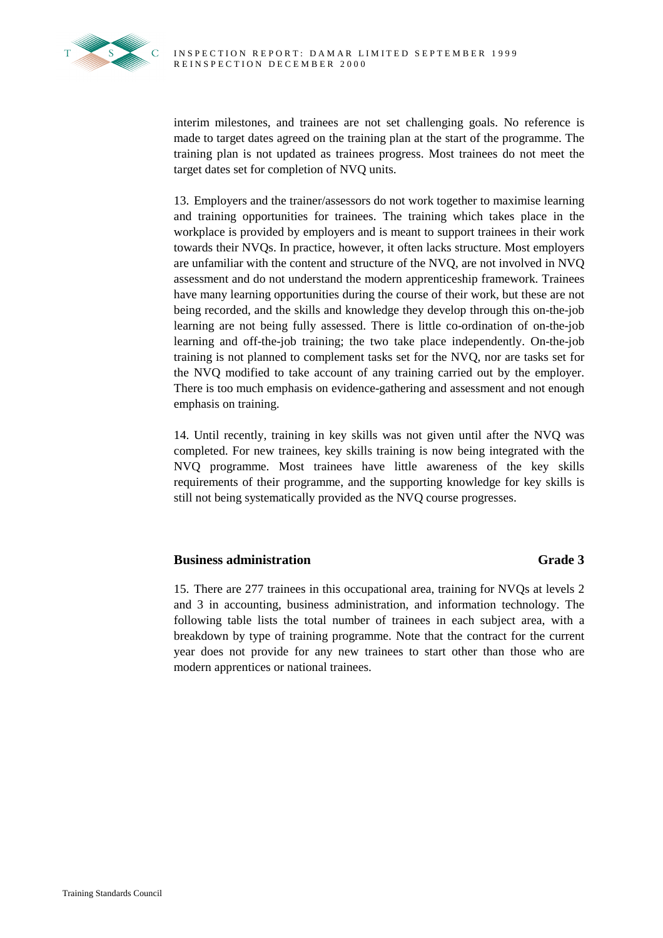

interim milestones, and trainees are not set challenging goals. No reference is made to target dates agreed on the training plan at the start of the programme. The training plan is not updated as trainees progress. Most trainees do not meet the target dates set for completion of NVQ units.

13. Employers and the trainer/assessors do not work together to maximise learning and training opportunities for trainees. The training which takes place in the workplace is provided by employers and is meant to support trainees in their work towards their NVQs. In practice, however, it often lacks structure. Most employers are unfamiliar with the content and structure of the NVQ, are not involved in NVQ assessment and do not understand the modern apprenticeship framework. Trainees have many learning opportunities during the course of their work, but these are not being recorded, and the skills and knowledge they develop through this on-the-job learning are not being fully assessed. There is little co-ordination of on-the-job learning and off-the-job training; the two take place independently. On-the-job training is not planned to complement tasks set for the NVQ, nor are tasks set for the NVQ modified to take account of any training carried out by the employer. There is too much emphasis on evidence-gathering and assessment and not enough emphasis on training.

14. Until recently, training in key skills was not given until after the NVQ was completed. For new trainees, key skills training is now being integrated with the NVQ programme. Most trainees have little awareness of the key skills requirements of their programme, and the supporting knowledge for key skills is still not being systematically provided as the NVQ course progresses.

### **Business administration** Grade 3

15. There are 277 trainees in this occupational area, training for NVQs at levels 2 and 3 in accounting, business administration, and information technology. The following table lists the total number of trainees in each subject area, with a breakdown by type of training programme. Note that the contract for the current year does not provide for any new trainees to start other than those who are modern apprentices or national trainees.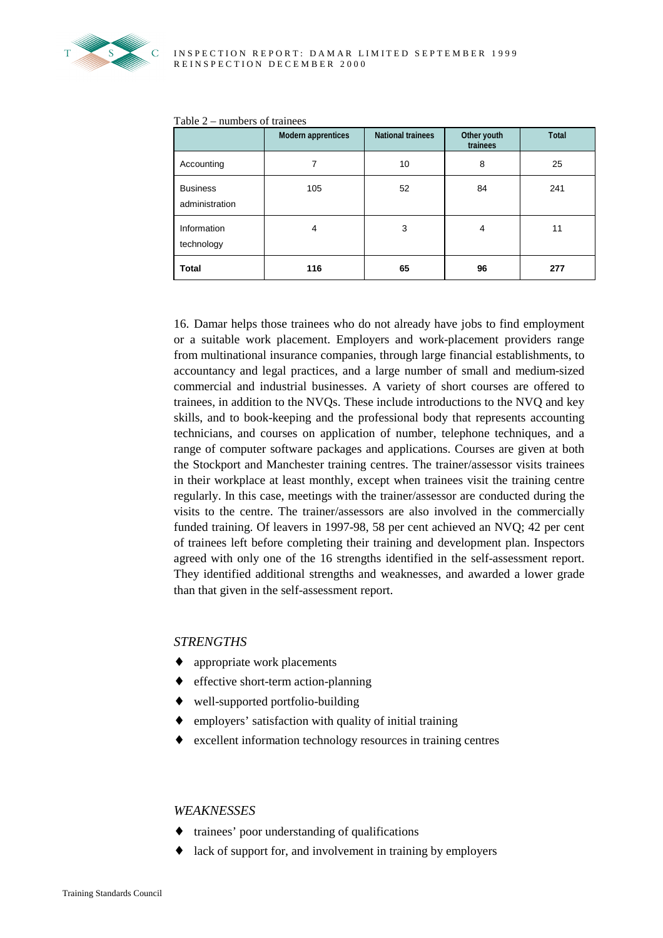

|  |  | Table $2$ – numbers of trainees |  |
|--|--|---------------------------------|--|
|--|--|---------------------------------|--|

|                                   | <b>Modern apprentices</b> | <b>National trainees</b> | Other youth<br>trainees | <b>Total</b> |
|-----------------------------------|---------------------------|--------------------------|-------------------------|--------------|
| Accounting                        | 7                         | 10                       | 8                       | 25           |
| <b>Business</b><br>administration | 105                       | 52                       | 84                      | 241          |
| Information<br>technology         | $\overline{4}$            | 3                        | $\overline{4}$          | 11           |
| <b>Total</b>                      | 116                       | 65                       | 96                      | 277          |

16. Damar helps those trainees who do not already have jobs to find employment or a suitable work placement. Employers and work-placement providers range from multinational insurance companies, through large financial establishments, to accountancy and legal practices, and a large number of small and medium-sized commercial and industrial businesses. A variety of short courses are offered to trainees, in addition to the NVQs. These include introductions to the NVQ and key skills, and to book-keeping and the professional body that represents accounting technicians, and courses on application of number, telephone techniques, and a range of computer software packages and applications. Courses are given at both the Stockport and Manchester training centres. The trainer/assessor visits trainees in their workplace at least monthly, except when trainees visit the training centre regularly. In this case, meetings with the trainer/assessor are conducted during the visits to the centre. The trainer/assessors are also involved in the commercially funded training. Of leavers in 1997-98, 58 per cent achieved an NVQ; 42 per cent of trainees left before completing their training and development plan. Inspectors agreed with only one of the 16 strengths identified in the self-assessment report. They identified additional strengths and weaknesses, and awarded a lower grade than that given in the self-assessment report.

#### *STRENGTHS*

- ♦ appropriate work placements
- ♦ effective short-term action-planning
- ♦ well-supported portfolio-building
- employers' satisfaction with quality of initial training
- excellent information technology resources in training centres

#### *WEAKNESSES*

- ♦ trainees' poor understanding of qualifications
- ♦ lack of support for, and involvement in training by employers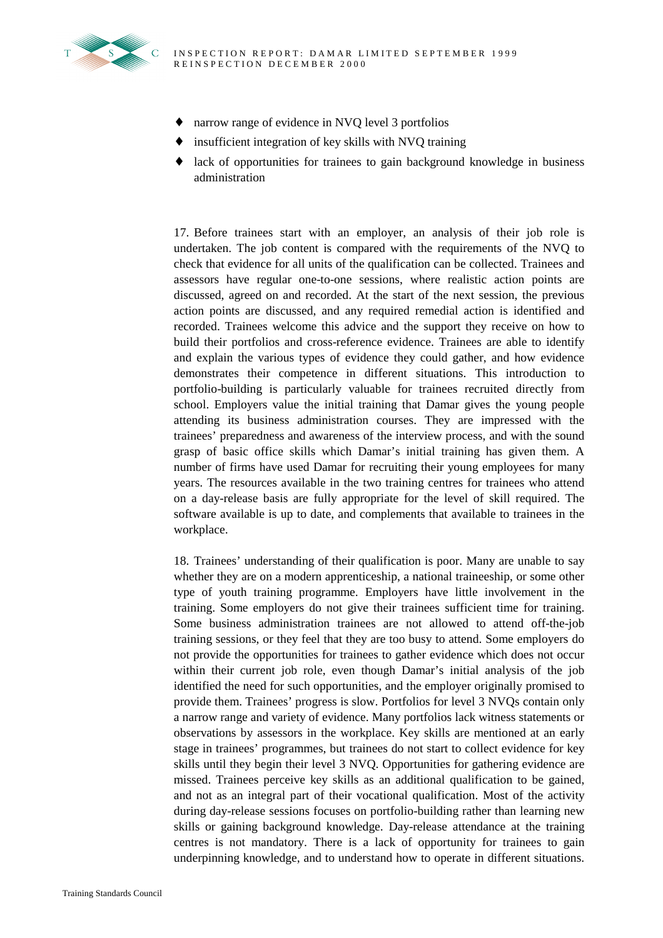

- ♦ narrow range of evidence in NVQ level 3 portfolios
- insufficient integration of key skills with NVQ training
- ♦ lack of opportunities for trainees to gain background knowledge in business administration

17. Before trainees start with an employer, an analysis of their job role is undertaken. The job content is compared with the requirements of the NVQ to check that evidence for all units of the qualification can be collected. Trainees and assessors have regular one-to-one sessions, where realistic action points are discussed, agreed on and recorded. At the start of the next session, the previous action points are discussed, and any required remedial action is identified and recorded. Trainees welcome this advice and the support they receive on how to build their portfolios and cross-reference evidence. Trainees are able to identify and explain the various types of evidence they could gather, and how evidence demonstrates their competence in different situations. This introduction to portfolio-building is particularly valuable for trainees recruited directly from school. Employers value the initial training that Damar gives the young people attending its business administration courses. They are impressed with the trainees' preparedness and awareness of the interview process, and with the sound grasp of basic office skills which Damar's initial training has given them. A number of firms have used Damar for recruiting their young employees for many years. The resources available in the two training centres for trainees who attend on a day-release basis are fully appropriate for the level of skill required. The software available is up to date, and complements that available to trainees in the workplace.

18. Trainees' understanding of their qualification is poor. Many are unable to say whether they are on a modern apprenticeship, a national traineeship, or some other type of youth training programme. Employers have little involvement in the training. Some employers do not give their trainees sufficient time for training. Some business administration trainees are not allowed to attend off-the-job training sessions, or they feel that they are too busy to attend. Some employers do not provide the opportunities for trainees to gather evidence which does not occur within their current job role, even though Damar's initial analysis of the job identified the need for such opportunities, and the employer originally promised to provide them. Trainees' progress is slow. Portfolios for level 3 NVQs contain only a narrow range and variety of evidence. Many portfolios lack witness statements or observations by assessors in the workplace. Key skills are mentioned at an early stage in trainees' programmes, but trainees do not start to collect evidence for key skills until they begin their level 3 NVQ. Opportunities for gathering evidence are missed. Trainees perceive key skills as an additional qualification to be gained, and not as an integral part of their vocational qualification. Most of the activity during day-release sessions focuses on portfolio-building rather than learning new skills or gaining background knowledge. Day-release attendance at the training centres is not mandatory. There is a lack of opportunity for trainees to gain underpinning knowledge, and to understand how to operate in different situations.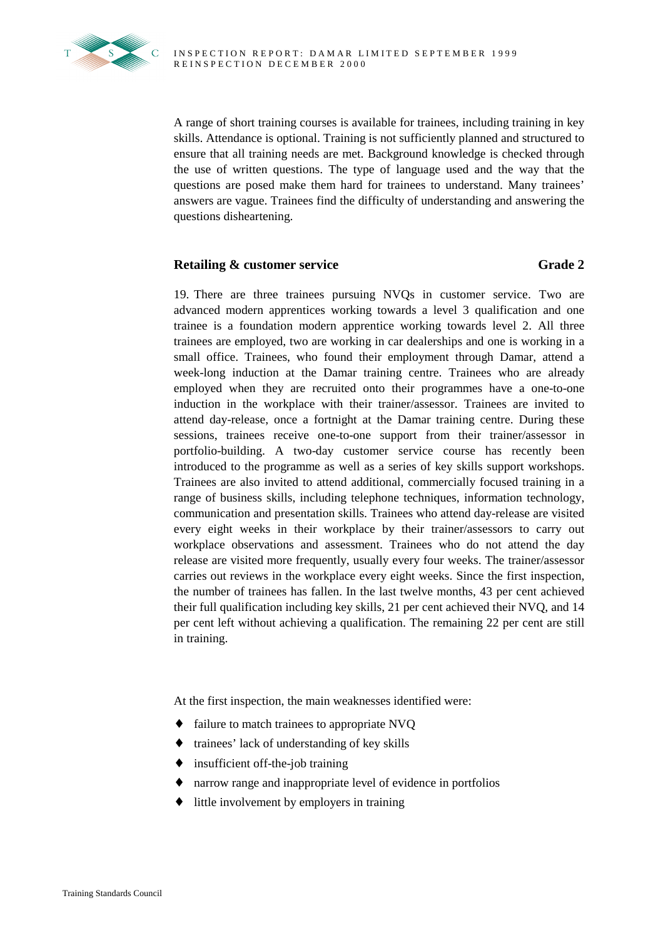

A range of short training courses is available for trainees, including training in key skills. Attendance is optional. Training is not sufficiently planned and structured to ensure that all training needs are met. Background knowledge is checked through the use of written questions. The type of language used and the way that the questions are posed make them hard for trainees to understand. Many trainees' answers are vague. Trainees find the difficulty of understanding and answering the questions disheartening.

### **Retailing & customer service Grade 2** Grade 2

19. There are three trainees pursuing NVQs in customer service. Two are advanced modern apprentices working towards a level 3 qualification and one trainee is a foundation modern apprentice working towards level 2. All three trainees are employed, two are working in car dealerships and one is working in a small office. Trainees, who found their employment through Damar, attend a week-long induction at the Damar training centre. Trainees who are already employed when they are recruited onto their programmes have a one-to-one induction in the workplace with their trainer/assessor. Trainees are invited to attend day-release, once a fortnight at the Damar training centre. During these sessions, trainees receive one-to-one support from their trainer/assessor in portfolio-building. A two-day customer service course has recently been introduced to the programme as well as a series of key skills support workshops. Trainees are also invited to attend additional, commercially focused training in a range of business skills, including telephone techniques, information technology, communication and presentation skills. Trainees who attend day-release are visited every eight weeks in their workplace by their trainer/assessors to carry out workplace observations and assessment. Trainees who do not attend the day release are visited more frequently, usually every four weeks. The trainer/assessor carries out reviews in the workplace every eight weeks. Since the first inspection, the number of trainees has fallen. In the last twelve months, 43 per cent achieved their full qualification including key skills, 21 per cent achieved their NVQ, and 14 per cent left without achieving a qualification. The remaining 22 per cent are still in training.

At the first inspection, the main weaknesses identified were:

- ♦ failure to match trainees to appropriate NVQ
- ♦ trainees' lack of understanding of key skills
- ♦ insufficient off-the-job training
- ♦ narrow range and inappropriate level of evidence in portfolios
- little involvement by employers in training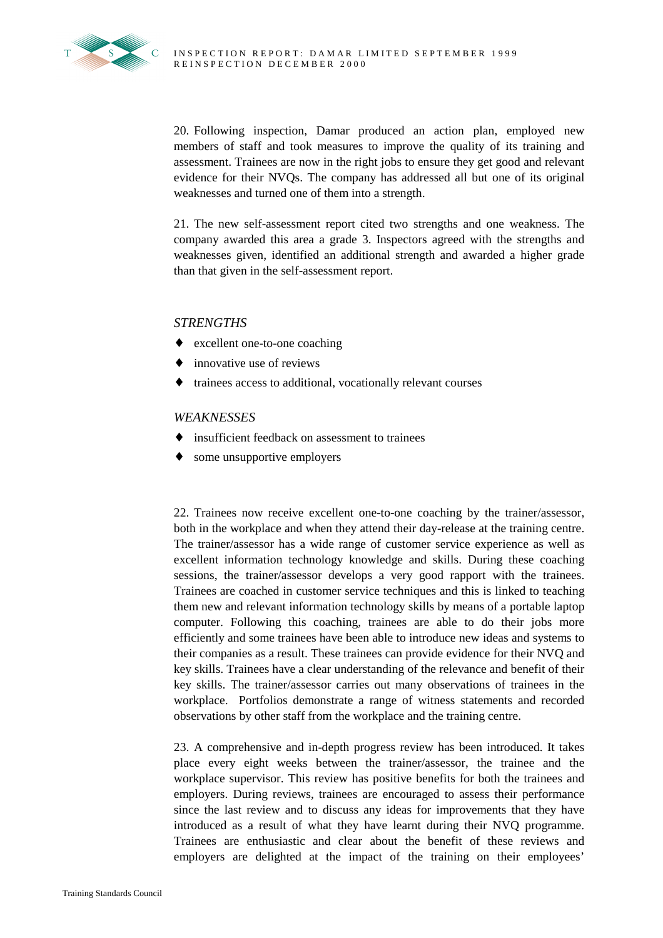20. Following inspection, Damar produced an action plan, employed new members of staff and took measures to improve the quality of its training and assessment. Trainees are now in the right jobs to ensure they get good and relevant evidence for their NVQs. The company has addressed all but one of its original weaknesses and turned one of them into a strength.

21. The new self-assessment report cited two strengths and one weakness. The company awarded this area a grade 3. Inspectors agreed with the strengths and weaknesses given, identified an additional strength and awarded a higher grade than that given in the self-assessment report.

#### *STRENGTHS*

- ♦ excellent one-to-one coaching
- $\bullet$  innovative use of reviews
- trainees access to additional, vocationally relevant courses

#### *WEAKNESSES*

- insufficient feedback on assessment to trainees
- some unsupportive employers

22. Trainees now receive excellent one-to-one coaching by the trainer/assessor, both in the workplace and when they attend their day-release at the training centre. The trainer/assessor has a wide range of customer service experience as well as excellent information technology knowledge and skills. During these coaching sessions, the trainer/assessor develops a very good rapport with the trainees. Trainees are coached in customer service techniques and this is linked to teaching them new and relevant information technology skills by means of a portable laptop computer. Following this coaching, trainees are able to do their jobs more efficiently and some trainees have been able to introduce new ideas and systems to their companies as a result. These trainees can provide evidence for their NVQ and key skills. Trainees have a clear understanding of the relevance and benefit of their key skills. The trainer/assessor carries out many observations of trainees in the workplace. Portfolios demonstrate a range of witness statements and recorded observations by other staff from the workplace and the training centre.

23. A comprehensive and in-depth progress review has been introduced. It takes place every eight weeks between the trainer/assessor, the trainee and the workplace supervisor. This review has positive benefits for both the trainees and employers. During reviews, trainees are encouraged to assess their performance since the last review and to discuss any ideas for improvements that they have introduced as a result of what they have learnt during their NVQ programme. Trainees are enthusiastic and clear about the benefit of these reviews and employers are delighted at the impact of the training on their employees'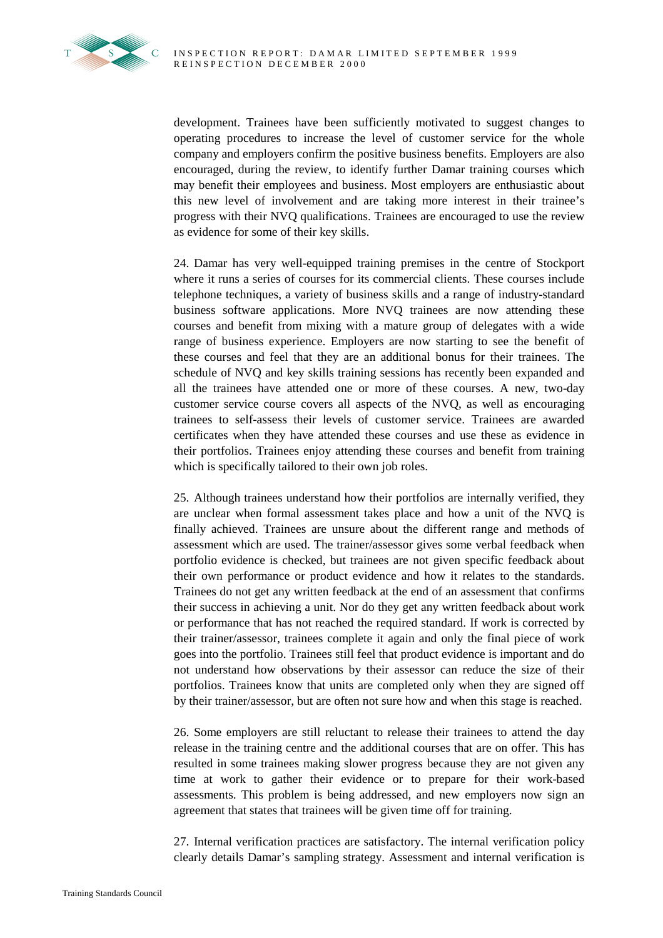

development. Trainees have been sufficiently motivated to suggest changes to operating procedures to increase the level of customer service for the whole company and employers confirm the positive business benefits. Employers are also encouraged, during the review, to identify further Damar training courses which may benefit their employees and business. Most employers are enthusiastic about this new level of involvement and are taking more interest in their trainee's progress with their NVQ qualifications. Trainees are encouraged to use the review as evidence for some of their key skills.

24. Damar has very well-equipped training premises in the centre of Stockport where it runs a series of courses for its commercial clients. These courses include telephone techniques, a variety of business skills and a range of industry-standard business software applications. More NVQ trainees are now attending these courses and benefit from mixing with a mature group of delegates with a wide range of business experience. Employers are now starting to see the benefit of these courses and feel that they are an additional bonus for their trainees. The schedule of NVQ and key skills training sessions has recently been expanded and all the trainees have attended one or more of these courses. A new, two-day customer service course covers all aspects of the NVQ, as well as encouraging trainees to self-assess their levels of customer service. Trainees are awarded certificates when they have attended these courses and use these as evidence in their portfolios. Trainees enjoy attending these courses and benefit from training which is specifically tailored to their own job roles.

25. Although trainees understand how their portfolios are internally verified, they are unclear when formal assessment takes place and how a unit of the NVQ is finally achieved. Trainees are unsure about the different range and methods of assessment which are used. The trainer/assessor gives some verbal feedback when portfolio evidence is checked, but trainees are not given specific feedback about their own performance or product evidence and how it relates to the standards. Trainees do not get any written feedback at the end of an assessment that confirms their success in achieving a unit. Nor do they get any written feedback about work or performance that has not reached the required standard. If work is corrected by their trainer/assessor, trainees complete it again and only the final piece of work goes into the portfolio. Trainees still feel that product evidence is important and do not understand how observations by their assessor can reduce the size of their portfolios. Trainees know that units are completed only when they are signed off by their trainer/assessor, but are often not sure how and when this stage is reached.

26. Some employers are still reluctant to release their trainees to attend the day release in the training centre and the additional courses that are on offer. This has resulted in some trainees making slower progress because they are not given any time at work to gather their evidence or to prepare for their work-based assessments. This problem is being addressed, and new employers now sign an agreement that states that trainees will be given time off for training.

27. Internal verification practices are satisfactory. The internal verification policy clearly details Damar's sampling strategy. Assessment and internal verification is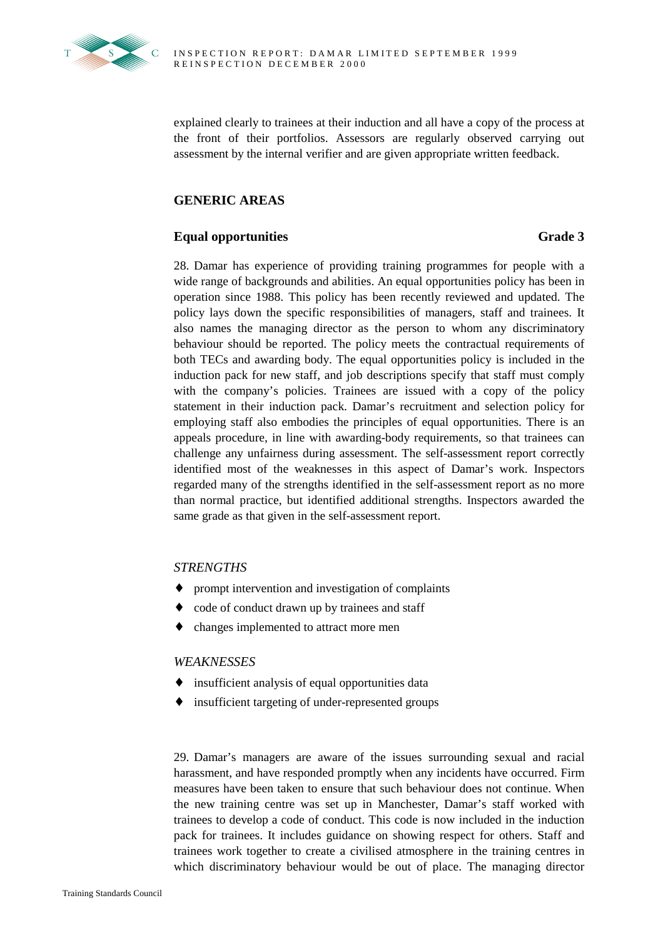

explained clearly to trainees at their induction and all have a copy of the process at the front of their portfolios. Assessors are regularly observed carrying out assessment by the internal verifier and are given appropriate written feedback.

#### **GENERIC AREAS**

#### **Equal opportunities** Grade 3

28. Damar has experience of providing training programmes for people with a wide range of backgrounds and abilities. An equal opportunities policy has been in operation since 1988. This policy has been recently reviewed and updated. The policy lays down the specific responsibilities of managers, staff and trainees. It also names the managing director as the person to whom any discriminatory behaviour should be reported. The policy meets the contractual requirements of both TECs and awarding body. The equal opportunities policy is included in the induction pack for new staff, and job descriptions specify that staff must comply with the company's policies. Trainees are issued with a copy of the policy statement in their induction pack. Damar's recruitment and selection policy for employing staff also embodies the principles of equal opportunities. There is an appeals procedure, in line with awarding-body requirements, so that trainees can challenge any unfairness during assessment. The self-assessment report correctly identified most of the weaknesses in this aspect of Damar's work. Inspectors regarded many of the strengths identified in the self-assessment report as no more than normal practice, but identified additional strengths. Inspectors awarded the same grade as that given in the self-assessment report.

#### *STRENGTHS*

- ♦ prompt intervention and investigation of complaints
- code of conduct drawn up by trainees and staff
- changes implemented to attract more men

#### *WEAKNESSES*

- ♦ insufficient analysis of equal opportunities data
- ♦ insufficient targeting of under-represented groups

29. Damar's managers are aware of the issues surrounding sexual and racial harassment, and have responded promptly when any incidents have occurred. Firm measures have been taken to ensure that such behaviour does not continue. When the new training centre was set up in Manchester, Damar's staff worked with trainees to develop a code of conduct. This code is now included in the induction pack for trainees. It includes guidance on showing respect for others. Staff and trainees work together to create a civilised atmosphere in the training centres in which discriminatory behaviour would be out of place. The managing director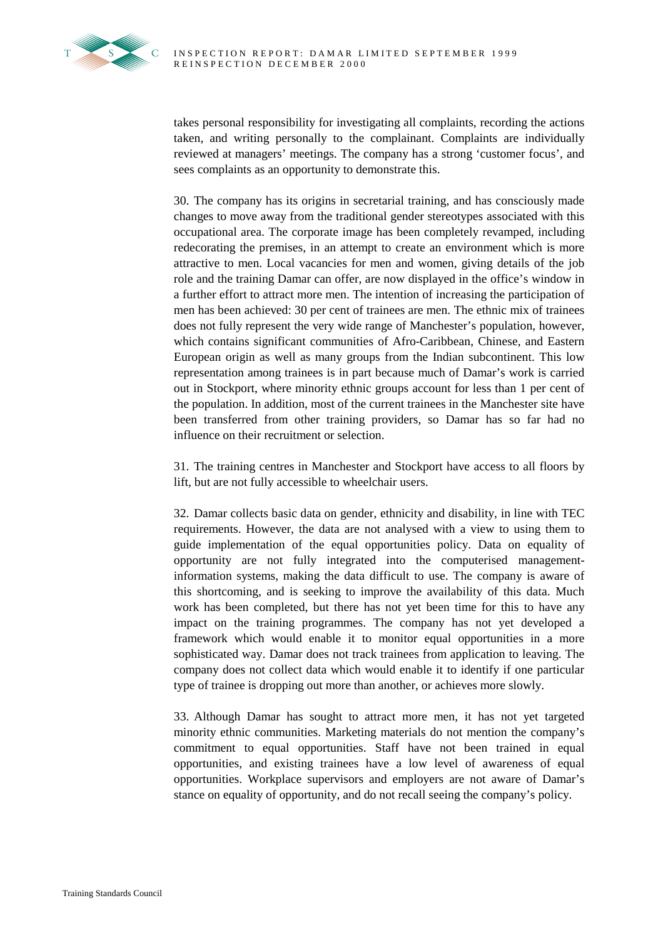takes personal responsibility for investigating all complaints, recording the actions taken, and writing personally to the complainant. Complaints are individually reviewed at managers' meetings. The company has a strong 'customer focus', and sees complaints as an opportunity to demonstrate this.

30. The company has its origins in secretarial training, and has consciously made changes to move away from the traditional gender stereotypes associated with this occupational area. The corporate image has been completely revamped, including redecorating the premises, in an attempt to create an environment which is more attractive to men. Local vacancies for men and women, giving details of the job role and the training Damar can offer, are now displayed in the office's window in a further effort to attract more men. The intention of increasing the participation of men has been achieved: 30 per cent of trainees are men. The ethnic mix of trainees does not fully represent the very wide range of Manchester's population, however, which contains significant communities of Afro-Caribbean, Chinese, and Eastern European origin as well as many groups from the Indian subcontinent. This low representation among trainees is in part because much of Damar's work is carried out in Stockport, where minority ethnic groups account for less than 1 per cent of the population. In addition, most of the current trainees in the Manchester site have been transferred from other training providers, so Damar has so far had no influence on their recruitment or selection.

31. The training centres in Manchester and Stockport have access to all floors by lift, but are not fully accessible to wheelchair users.

32. Damar collects basic data on gender, ethnicity and disability, in line with TEC requirements. However, the data are not analysed with a view to using them to guide implementation of the equal opportunities policy. Data on equality of opportunity are not fully integrated into the computerised managementinformation systems, making the data difficult to use. The company is aware of this shortcoming, and is seeking to improve the availability of this data. Much work has been completed, but there has not yet been time for this to have any impact on the training programmes. The company has not yet developed a framework which would enable it to monitor equal opportunities in a more sophisticated way. Damar does not track trainees from application to leaving. The company does not collect data which would enable it to identify if one particular type of trainee is dropping out more than another, or achieves more slowly.

33. Although Damar has sought to attract more men, it has not yet targeted minority ethnic communities. Marketing materials do not mention the company's commitment to equal opportunities. Staff have not been trained in equal opportunities, and existing trainees have a low level of awareness of equal opportunities. Workplace supervisors and employers are not aware of Damar's stance on equality of opportunity, and do not recall seeing the company's policy.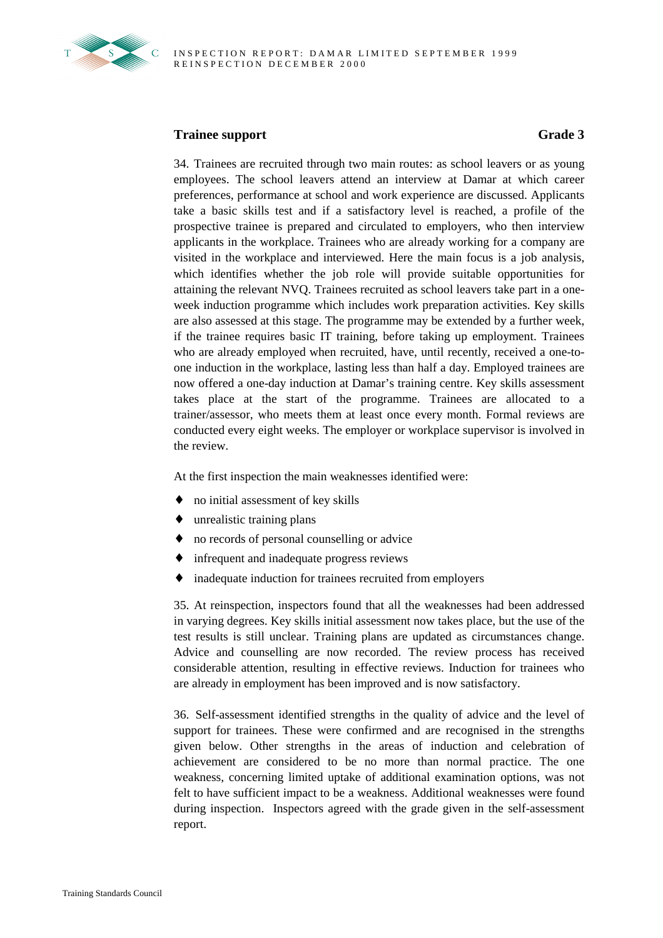

### **Trainee support** Grade 3

34. Trainees are recruited through two main routes: as school leavers or as young employees. The school leavers attend an interview at Damar at which career preferences, performance at school and work experience are discussed. Applicants take a basic skills test and if a satisfactory level is reached, a profile of the prospective trainee is prepared and circulated to employers, who then interview applicants in the workplace. Trainees who are already working for a company are visited in the workplace and interviewed. Here the main focus is a job analysis, which identifies whether the job role will provide suitable opportunities for attaining the relevant NVQ. Trainees recruited as school leavers take part in a oneweek induction programme which includes work preparation activities. Key skills are also assessed at this stage. The programme may be extended by a further week, if the trainee requires basic IT training, before taking up employment. Trainees who are already employed when recruited, have, until recently, received a one-toone induction in the workplace, lasting less than half a day. Employed trainees are now offered a one-day induction at Damar's training centre. Key skills assessment takes place at the start of the programme. Trainees are allocated to a trainer/assessor, who meets them at least once every month. Formal reviews are conducted every eight weeks. The employer or workplace supervisor is involved in the review.

At the first inspection the main weaknesses identified were:

- ♦ no initial assessment of key skills
- $\bullet$  unrealistic training plans
- ♦ no records of personal counselling or advice
- ♦ infrequent and inadequate progress reviews
- ♦ inadequate induction for trainees recruited from employers

35. At reinspection, inspectors found that all the weaknesses had been addressed in varying degrees. Key skills initial assessment now takes place, but the use of the test results is still unclear. Training plans are updated as circumstances change. Advice and counselling are now recorded. The review process has received considerable attention, resulting in effective reviews. Induction for trainees who are already in employment has been improved and is now satisfactory.

36. Self-assessment identified strengths in the quality of advice and the level of support for trainees. These were confirmed and are recognised in the strengths given below. Other strengths in the areas of induction and celebration of achievement are considered to be no more than normal practice. The one weakness, concerning limited uptake of additional examination options, was not felt to have sufficient impact to be a weakness. Additional weaknesses were found during inspection. Inspectors agreed with the grade given in the self-assessment report.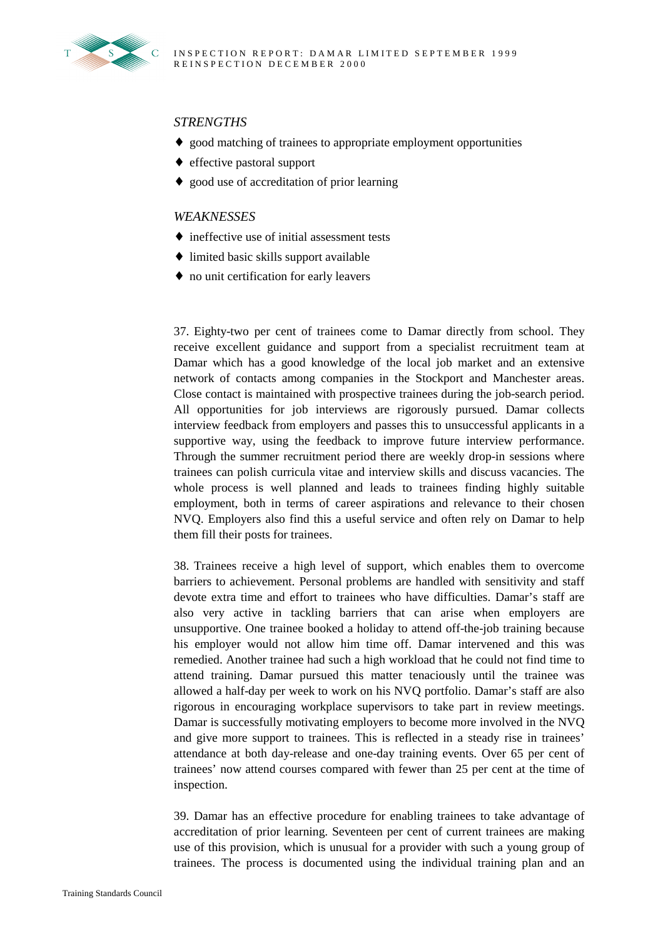

#### *STRENGTHS*

- ♦ good matching of trainees to appropriate employment opportunities
- ♦ effective pastoral support
- ♦ good use of accreditation of prior learning

#### *WEAKNESSES*

- ♦ ineffective use of initial assessment tests
- ♦ limited basic skills support available
- ♦ no unit certification for early leavers

37. Eighty-two per cent of trainees come to Damar directly from school. They receive excellent guidance and support from a specialist recruitment team at Damar which has a good knowledge of the local job market and an extensive network of contacts among companies in the Stockport and Manchester areas. Close contact is maintained with prospective trainees during the job-search period. All opportunities for job interviews are rigorously pursued. Damar collects interview feedback from employers and passes this to unsuccessful applicants in a supportive way, using the feedback to improve future interview performance. Through the summer recruitment period there are weekly drop-in sessions where trainees can polish curricula vitae and interview skills and discuss vacancies. The whole process is well planned and leads to trainees finding highly suitable employment, both in terms of career aspirations and relevance to their chosen NVQ. Employers also find this a useful service and often rely on Damar to help them fill their posts for trainees.

38. Trainees receive a high level of support, which enables them to overcome barriers to achievement. Personal problems are handled with sensitivity and staff devote extra time and effort to trainees who have difficulties. Damar's staff are also very active in tackling barriers that can arise when employers are unsupportive. One trainee booked a holiday to attend off-the-job training because his employer would not allow him time off. Damar intervened and this was remedied. Another trainee had such a high workload that he could not find time to attend training. Damar pursued this matter tenaciously until the trainee was allowed a half-day per week to work on his NVQ portfolio. Damar's staff are also rigorous in encouraging workplace supervisors to take part in review meetings. Damar is successfully motivating employers to become more involved in the NVQ and give more support to trainees. This is reflected in a steady rise in trainees' attendance at both day-release and one-day training events. Over 65 per cent of trainees' now attend courses compared with fewer than 25 per cent at the time of inspection.

39. Damar has an effective procedure for enabling trainees to take advantage of accreditation of prior learning. Seventeen per cent of current trainees are making use of this provision, which is unusual for a provider with such a young group of trainees. The process is documented using the individual training plan and an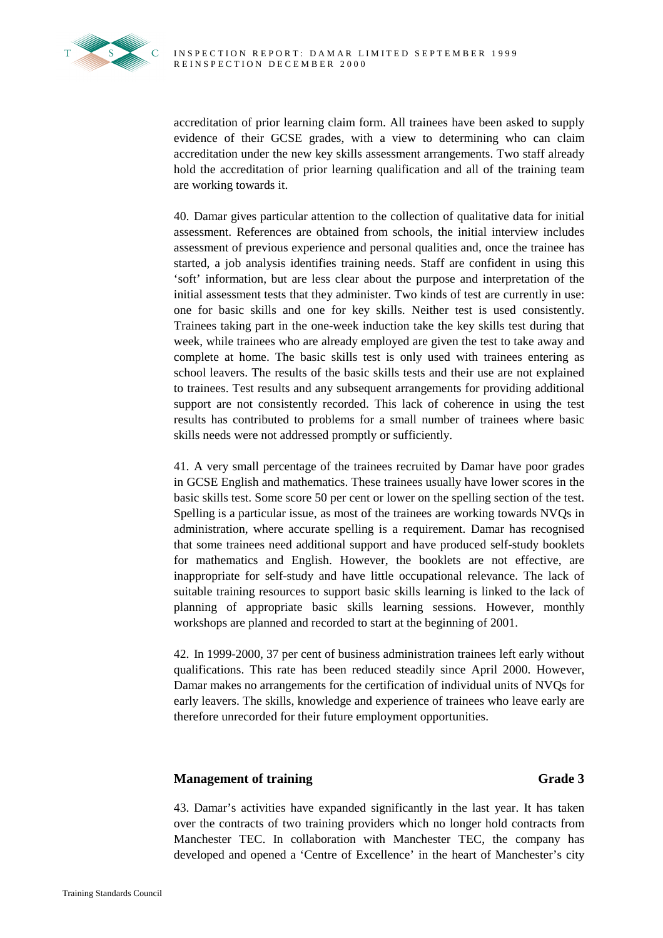

accreditation of prior learning claim form. All trainees have been asked to supply evidence of their GCSE grades, with a view to determining who can claim accreditation under the new key skills assessment arrangements. Two staff already hold the accreditation of prior learning qualification and all of the training team are working towards it.

40. Damar gives particular attention to the collection of qualitative data for initial assessment. References are obtained from schools, the initial interview includes assessment of previous experience and personal qualities and, once the trainee has started, a job analysis identifies training needs. Staff are confident in using this 'soft' information, but are less clear about the purpose and interpretation of the initial assessment tests that they administer. Two kinds of test are currently in use: one for basic skills and one for key skills. Neither test is used consistently. Trainees taking part in the one-week induction take the key skills test during that week, while trainees who are already employed are given the test to take away and complete at home. The basic skills test is only used with trainees entering as school leavers. The results of the basic skills tests and their use are not explained to trainees. Test results and any subsequent arrangements for providing additional support are not consistently recorded. This lack of coherence in using the test results has contributed to problems for a small number of trainees where basic skills needs were not addressed promptly or sufficiently.

41. A very small percentage of the trainees recruited by Damar have poor grades in GCSE English and mathematics. These trainees usually have lower scores in the basic skills test. Some score 50 per cent or lower on the spelling section of the test. Spelling is a particular issue, as most of the trainees are working towards NVQs in administration, where accurate spelling is a requirement. Damar has recognised that some trainees need additional support and have produced self-study booklets for mathematics and English. However, the booklets are not effective, are inappropriate for self-study and have little occupational relevance. The lack of suitable training resources to support basic skills learning is linked to the lack of planning of appropriate basic skills learning sessions. However, monthly workshops are planned and recorded to start at the beginning of 2001.

42. In 1999-2000, 37 per cent of business administration trainees left early without qualifications. This rate has been reduced steadily since April 2000. However, Damar makes no arrangements for the certification of individual units of NVQs for early leavers. The skills, knowledge and experience of trainees who leave early are therefore unrecorded for their future employment opportunities.

### **Management of training Grade 3**

43. Damar's activities have expanded significantly in the last year. It has taken over the contracts of two training providers which no longer hold contracts from Manchester TEC. In collaboration with Manchester TEC, the company has developed and opened a 'Centre of Excellence' in the heart of Manchester's city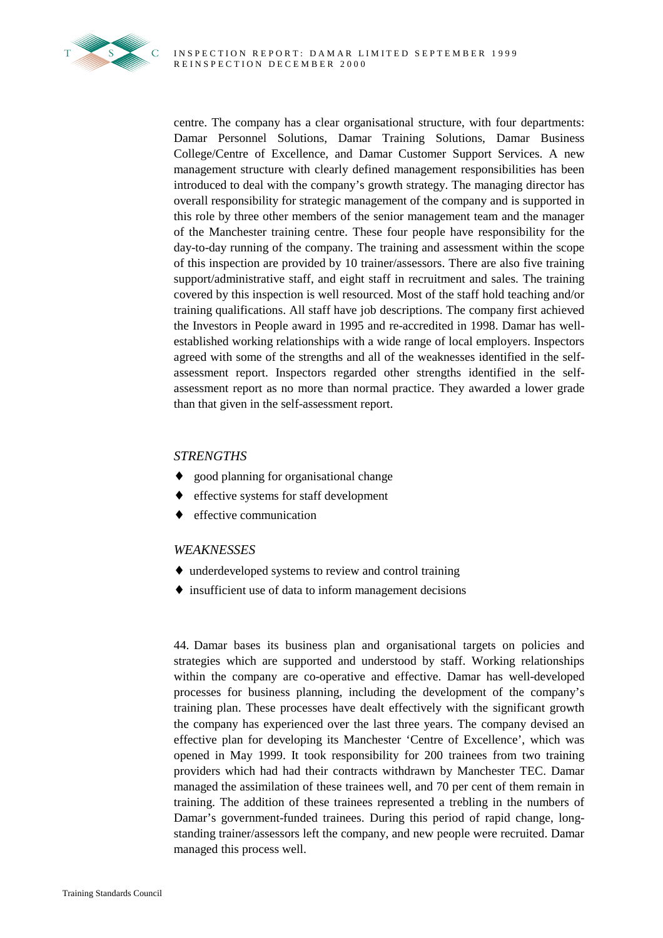

centre. The company has a clear organisational structure, with four departments: Damar Personnel Solutions, Damar Training Solutions, Damar Business College/Centre of Excellence, and Damar Customer Support Services. A new management structure with clearly defined management responsibilities has been introduced to deal with the company's growth strategy. The managing director has overall responsibility for strategic management of the company and is supported in this role by three other members of the senior management team and the manager of the Manchester training centre. These four people have responsibility for the day-to-day running of the company. The training and assessment within the scope of this inspection are provided by 10 trainer/assessors. There are also five training support/administrative staff, and eight staff in recruitment and sales. The training covered by this inspection is well resourced. Most of the staff hold teaching and/or training qualifications. All staff have job descriptions. The company first achieved the Investors in People award in 1995 and re-accredited in 1998. Damar has wellestablished working relationships with a wide range of local employers. Inspectors agreed with some of the strengths and all of the weaknesses identified in the selfassessment report. Inspectors regarded other strengths identified in the selfassessment report as no more than normal practice. They awarded a lower grade than that given in the self-assessment report.

### *STRENGTHS*

- ♦ good planning for organisational change
- effective systems for staff development
- effective communication

#### *WEAKNESSES*

- ♦ underdeveloped systems to review and control training
- ♦ insufficient use of data to inform management decisions

44. Damar bases its business plan and organisational targets on policies and strategies which are supported and understood by staff. Working relationships within the company are co-operative and effective. Damar has well-developed processes for business planning, including the development of the company's training plan. These processes have dealt effectively with the significant growth the company has experienced over the last three years. The company devised an effective plan for developing its Manchester 'Centre of Excellence', which was opened in May 1999. It took responsibility for 200 trainees from two training providers which had had their contracts withdrawn by Manchester TEC. Damar managed the assimilation of these trainees well, and 70 per cent of them remain in training. The addition of these trainees represented a trebling in the numbers of Damar's government-funded trainees. During this period of rapid change, longstanding trainer/assessors left the company, and new people were recruited. Damar managed this process well.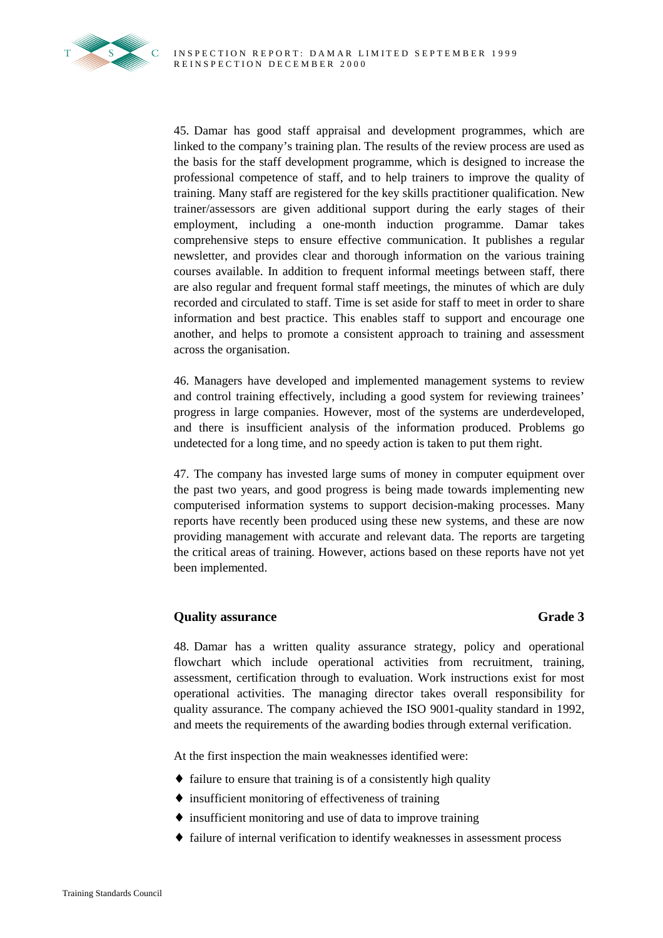

45. Damar has good staff appraisal and development programmes, which are linked to the company's training plan. The results of the review process are used as the basis for the staff development programme, which is designed to increase the professional competence of staff, and to help trainers to improve the quality of training. Many staff are registered for the key skills practitioner qualification. New trainer/assessors are given additional support during the early stages of their employment, including a one-month induction programme. Damar takes comprehensive steps to ensure effective communication. It publishes a regular newsletter, and provides clear and thorough information on the various training courses available. In addition to frequent informal meetings between staff, there are also regular and frequent formal staff meetings, the minutes of which are duly recorded and circulated to staff. Time is set aside for staff to meet in order to share information and best practice. This enables staff to support and encourage one another, and helps to promote a consistent approach to training and assessment across the organisation.

46. Managers have developed and implemented management systems to review and control training effectively, including a good system for reviewing trainees' progress in large companies. However, most of the systems are underdeveloped, and there is insufficient analysis of the information produced. Problems go undetected for a long time, and no speedy action is taken to put them right.

47. The company has invested large sums of money in computer equipment over the past two years, and good progress is being made towards implementing new computerised information systems to support decision-making processes. Many reports have recently been produced using these new systems, and these are now providing management with accurate and relevant data. The reports are targeting the critical areas of training. However, actions based on these reports have not yet been implemented.

### **Quality assurance** Grade 3

48. Damar has a written quality assurance strategy, policy and operational flowchart which include operational activities from recruitment, training, assessment, certification through to evaluation. Work instructions exist for most operational activities. The managing director takes overall responsibility for quality assurance. The company achieved the ISO 9001-quality standard in 1992, and meets the requirements of the awarding bodies through external verification.

At the first inspection the main weaknesses identified were:

- ♦ failure to ensure that training is of a consistently high quality
- $\bullet$  insufficient monitoring of effectiveness of training
- ♦ insufficient monitoring and use of data to improve training
- ♦ failure of internal verification to identify weaknesses in assessment process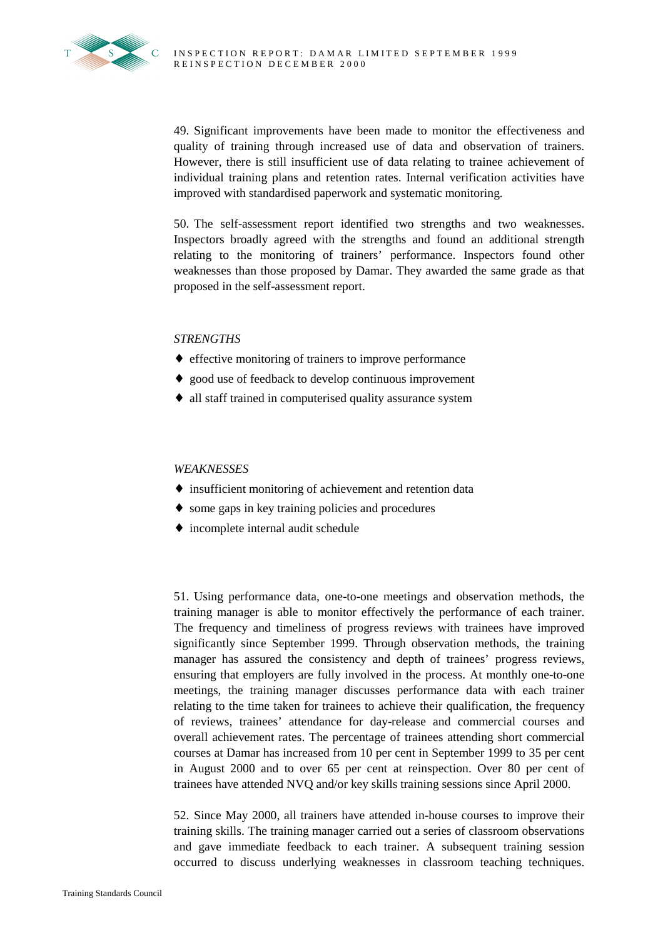

49. Significant improvements have been made to monitor the effectiveness and quality of training through increased use of data and observation of trainers. However, there is still insufficient use of data relating to trainee achievement of individual training plans and retention rates. Internal verification activities have improved with standardised paperwork and systematic monitoring.

50. The self-assessment report identified two strengths and two weaknesses. Inspectors broadly agreed with the strengths and found an additional strength relating to the monitoring of trainers' performance. Inspectors found other weaknesses than those proposed by Damar. They awarded the same grade as that proposed in the self-assessment report.

#### *STRENGTHS*

- ♦ effective monitoring of trainers to improve performance
- ♦ good use of feedback to develop continuous improvement
- ♦ all staff trained in computerised quality assurance system

#### *WEAKNESSES*

- ♦ insufficient monitoring of achievement and retention data
- ♦ some gaps in key training policies and procedures
- incomplete internal audit schedule

51. Using performance data, one-to-one meetings and observation methods, the training manager is able to monitor effectively the performance of each trainer. The frequency and timeliness of progress reviews with trainees have improved significantly since September 1999. Through observation methods, the training manager has assured the consistency and depth of trainees' progress reviews, ensuring that employers are fully involved in the process. At monthly one-to-one meetings, the training manager discusses performance data with each trainer relating to the time taken for trainees to achieve their qualification, the frequency of reviews, trainees' attendance for day-release and commercial courses and overall achievement rates. The percentage of trainees attending short commercial courses at Damar has increased from 10 per cent in September 1999 to 35 per cent in August 2000 and to over 65 per cent at reinspection. Over 80 per cent of trainees have attended NVQ and/or key skills training sessions since April 2000.

52. Since May 2000, all trainers have attended in-house courses to improve their training skills. The training manager carried out a series of classroom observations and gave immediate feedback to each trainer. A subsequent training session occurred to discuss underlying weaknesses in classroom teaching techniques.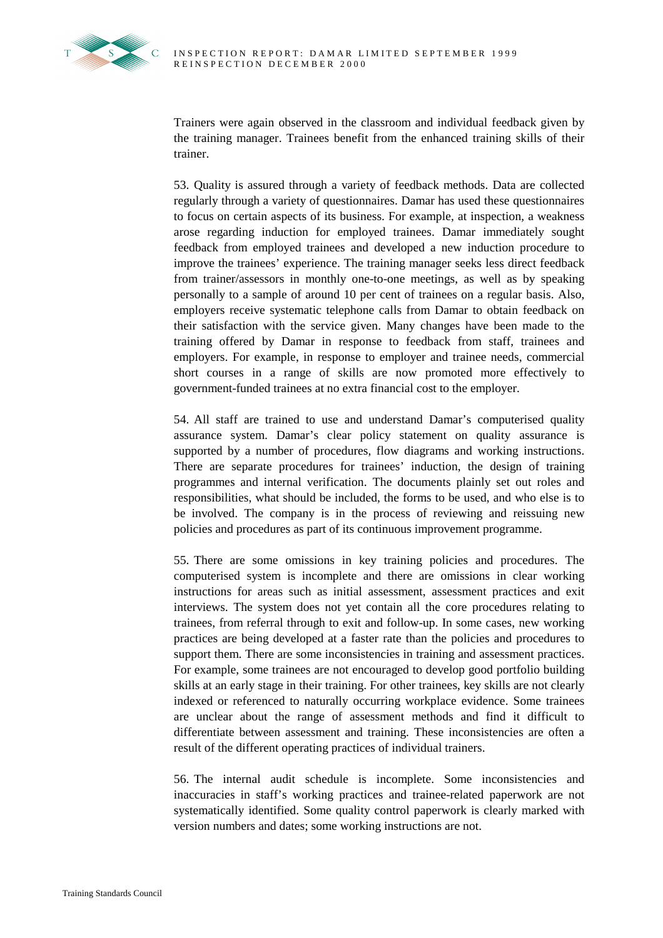Trainers were again observed in the classroom and individual feedback given by the training manager. Trainees benefit from the enhanced training skills of their trainer.

53. Quality is assured through a variety of feedback methods. Data are collected regularly through a variety of questionnaires. Damar has used these questionnaires to focus on certain aspects of its business. For example, at inspection, a weakness arose regarding induction for employed trainees. Damar immediately sought feedback from employed trainees and developed a new induction procedure to improve the trainees' experience. The training manager seeks less direct feedback from trainer/assessors in monthly one-to-one meetings, as well as by speaking personally to a sample of around 10 per cent of trainees on a regular basis. Also, employers receive systematic telephone calls from Damar to obtain feedback on their satisfaction with the service given. Many changes have been made to the training offered by Damar in response to feedback from staff, trainees and employers. For example, in response to employer and trainee needs, commercial short courses in a range of skills are now promoted more effectively to government-funded trainees at no extra financial cost to the employer.

54. All staff are trained to use and understand Damar's computerised quality assurance system. Damar's clear policy statement on quality assurance is supported by a number of procedures, flow diagrams and working instructions. There are separate procedures for trainees' induction, the design of training programmes and internal verification. The documents plainly set out roles and responsibilities, what should be included, the forms to be used, and who else is to be involved. The company is in the process of reviewing and reissuing new policies and procedures as part of its continuous improvement programme.

55. There are some omissions in key training policies and procedures. The computerised system is incomplete and there are omissions in clear working instructions for areas such as initial assessment, assessment practices and exit interviews. The system does not yet contain all the core procedures relating to trainees, from referral through to exit and follow-up. In some cases, new working practices are being developed at a faster rate than the policies and procedures to support them. There are some inconsistencies in training and assessment practices. For example, some trainees are not encouraged to develop good portfolio building skills at an early stage in their training. For other trainees, key skills are not clearly indexed or referenced to naturally occurring workplace evidence. Some trainees are unclear about the range of assessment methods and find it difficult to differentiate between assessment and training. These inconsistencies are often a result of the different operating practices of individual trainers.

56. The internal audit schedule is incomplete. Some inconsistencies and inaccuracies in staff's working practices and trainee-related paperwork are not systematically identified. Some quality control paperwork is clearly marked with version numbers and dates; some working instructions are not.